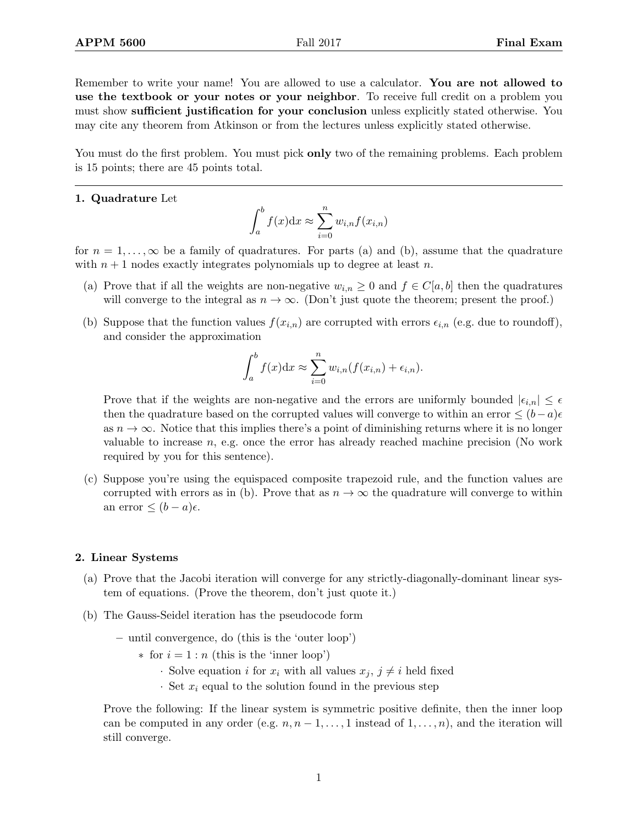Remember to write your name! You are allowed to use a calculator. You are not allowed to use the textbook or your notes or your neighbor. To receive full credit on a problem you must show sufficient justification for your conclusion unless explicitly stated otherwise. You may cite any theorem from Atkinson or from the lectures unless explicitly stated otherwise.

You must do the first problem. You must pick **only** two of the remaining problems. Each problem is 15 points; there are 45 points total.

## 1. Quadrature Let

$$
\int_{a}^{b} f(x)dx \approx \sum_{i=0}^{n} w_{i,n} f(x_{i,n})
$$

for  $n = 1, \ldots, \infty$  be a family of quadratures. For parts (a) and (b), assume that the quadrature with  $n + 1$  nodes exactly integrates polynomials up to degree at least n.

- (a) Prove that if all the weights are non-negative  $w_{i,n} \geq 0$  and  $f \in C[a, b]$  then the quadratures will converge to the integral as  $n \to \infty$ . (Don't just quote the theorem; present the proof.)
- (b) Suppose that the function values  $f(x_{i,n})$  are corrupted with errors  $\epsilon_{i,n}$  (e.g. due to roundoff), and consider the approximation

$$
\int_a^b f(x)dx \approx \sum_{i=0}^n w_{i,n}(f(x_{i,n}) + \epsilon_{i,n}).
$$

Prove that if the weights are non-negative and the errors are uniformly bounded  $|\epsilon_{i,n}| \leq \epsilon$ then the quadrature based on the corrupted values will converge to within an error  $\leq (b-a)\epsilon$ as  $n \to \infty$ . Notice that this implies there's a point of diminishing returns where it is no longer valuable to increase  $n$ , e.g. once the error has already reached machine precision (No work required by you for this sentence).

(c) Suppose you're using the equispaced composite trapezoid rule, and the function values are corrupted with errors as in (b). Prove that as  $n \to \infty$  the quadrature will converge to within an error  $\leq (b-a)\epsilon$ .

## 2. Linear Systems

- (a) Prove that the Jacobi iteration will converge for any strictly-diagonally-dominant linear system of equations. (Prove the theorem, don't just quote it.)
- (b) The Gauss-Seidel iteration has the pseudocode form
	- until convergence, do (this is the 'outer loop')
		- $*$  for  $i = 1 : n$  (this is the 'inner loop')
			- · Solve equation *i* for  $x_i$  with all values  $x_j, j \neq i$  held fixed
			- $\cdot$  Set  $x_i$  equal to the solution found in the previous step

Prove the following: If the linear system is symmetric positive definite, then the inner loop can be computed in any order (e.g.  $n, n-1, \ldots, 1$  instead of  $1, \ldots, n$ ), and the iteration will still converge.